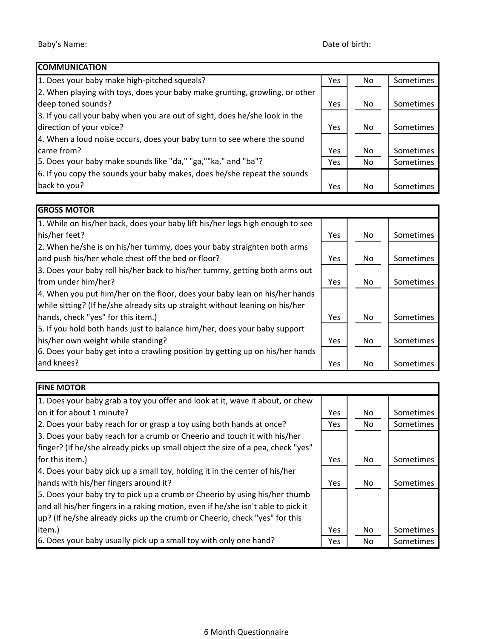| <b>COMMUNICATION</b>                                                        |            |     |  |           |
|-----------------------------------------------------------------------------|------------|-----|--|-----------|
| 1. Does your baby make high-pitched squeals?                                | <b>Yes</b> | No  |  | Sometimes |
| 2. When playing with toys, does your baby make grunting, growling, or other |            |     |  |           |
| deep toned sounds?                                                          | <b>Yes</b> | No. |  | Sometimes |
| 3. If you call your baby when you are out of sight, does he/she look in the |            |     |  |           |
| direction of your voice?                                                    | <b>Yes</b> | No. |  | Sometimes |
| 4. When a loud noise occurs, does your baby turn to see where the sound     |            |     |  |           |
| came from?                                                                  | <b>Yes</b> | No. |  | Sometimes |
| 5. Does your baby make sounds like "da," "ga,""ka," and "ba"?               | Yes        | No  |  | Sometimes |
| 6. If you copy the sounds your baby makes, does he/she repeat the sounds    |            |     |  |           |
| back to you?                                                                | Yes        | No. |  | Sometimes |

| <b>GROSS MOTOR</b>                                                            |            |  |     |           |
|-------------------------------------------------------------------------------|------------|--|-----|-----------|
| 1. While on his/her back, does your baby lift his/her legs high enough to see |            |  |     |           |
| his/her feet?                                                                 | Yes        |  | No. | Sometimes |
| 2. When he/she is on his/her tummy, does your baby straighten both arms       |            |  |     |           |
| and push his/her whole chest off the bed or floor?                            | <b>Yes</b> |  | No. | Sometimes |
| 3. Does your baby roll his/her back to his/her tummy, getting both arms out   |            |  |     |           |
| from under him/her?                                                           | Yes        |  | No. | Sometimes |
| 4. When you put him/her on the floor, does your baby lean on his/her hands    |            |  |     |           |
| while sitting? (If he/she already sits up straight without leaning on his/her |            |  |     |           |
| hands, check "yes" for this item.)                                            | Yes        |  | No. | Sometimes |
| 5. If you hold both hands just to balance him/her, does your baby support     |            |  |     |           |
| his/her own weight while standing?                                            | Yes        |  | No  | Sometimes |
| 6. Does your baby get into a crawling position by getting up on his/her hands |            |  |     |           |
| and knees?                                                                    | Yes        |  | No. | Sometimes |

**FINE MOTOR**

| 1. Does your baby grab a toy you offer and look at it, wave it about, or chew    |            |    |                  |
|----------------------------------------------------------------------------------|------------|----|------------------|
| on it for about 1 minute?                                                        | <b>Yes</b> | No | Sometimes        |
| 2. Does your baby reach for or grasp a toy using both hands at once?             | Yes        | No | Sometimes        |
| 3. Does your baby reach for a crumb or Cheerio and touch it with his/her         |            |    |                  |
| finger? (If he/she already picks up small object the size of a pea, check "yes"  |            |    |                  |
| for this item.)                                                                  | <b>Yes</b> | No | <b>Sometimes</b> |
| 4. Does your baby pick up a small toy, holding it in the center of his/her       |            |    |                  |
| hands with his/her fingers around it?                                            | <b>Yes</b> | No | Sometimes        |
| 5. Does your baby try to pick up a crumb or Cheerio by using his/her thumb       |            |    |                  |
| and all his/her fingers in a raking motion, even if he/she isn't able to pick it |            |    |                  |
| up? (If he/she already picks up the crumb or Cheerio, check "yes" for this       |            |    |                  |
| item.)                                                                           | <b>Yes</b> | No | Sometimes        |
| 6. Does your baby usually pick up a small toy with only one hand?                | <b>Yes</b> | No | Sometimes        |